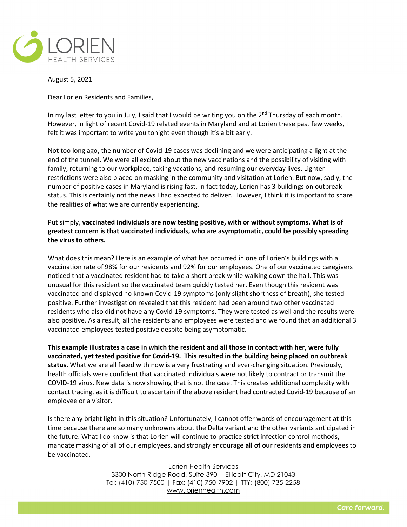

August 5, 2021

Dear Lorien Residents and Families,

In my last letter to you in July, I said that I would be writing you on the  $2<sup>nd</sup>$  Thursday of each month. However, in light of recent Covid-19 related events in Maryland and at Lorien these past few weeks, I felt it was important to write you tonight even though it's a bit early.

Not too long ago, the number of Covid-19 cases was declining and we were anticipating a light at the end of the tunnel. We were all excited about the new vaccinations and the possibility of visiting with family, returning to our workplace, taking vacations, and resuming our everyday lives. Lighter restrictions were also placed on masking in the community and visitation at Lorien. But now, sadly, the number of positive cases in Maryland is rising fast. In fact today, Lorien has 3 buildings on outbreak status. This is certainly not the news I had expected to deliver. However, I think it is important to share the realities of what we are currently experiencing.

Put simply, **vaccinated individuals are now testing positive, with or without symptoms. What is of greatest concern is that vaccinated individuals, who are asymptomatic, could be possibly spreading the virus to others.**

What does this mean? Here is an example of what has occurred in one of Lorien's buildings with a vaccination rate of 98% for our residents and 92% for our employees. One of our vaccinated caregivers noticed that a vaccinated resident had to take a short break while walking down the hall. This was unusual for this resident so the vaccinated team quickly tested her. Even though this resident was vaccinated and displayed no known Covid-19 symptoms (only slight shortness of breath), she tested positive. Further investigation revealed that this resident had been around two other vaccinated residents who also did not have any Covid-19 symptoms. They were tested as well and the results were also positive. As a result, all the residents and employees were tested and we found that an additional 3 vaccinated employees tested positive despite being asymptomatic.

**This example illustrates a case in which the resident and all those in contact with her, were fully vaccinated, yet tested positive for Covid-19. This resulted in the building being placed on outbreak status.** What we are all faced with now is a very frustrating and ever-changing situation. Previously, health officials were confident that vaccinated individuals were not likely to contract or transmit the COVID-19 virus. New data is now showing that is not the case. This creates additional complexity with contact tracing, as it is difficult to ascertain if the above resident had contracted Covid-19 because of an employee or a visitor.

Is there any bright light in this situation? Unfortunately, I cannot offer words of encouragement at this time because there are so many unknowns about the Delta variant and the other variants anticipated in the future. What I do know is that Lorien will continue to practice strict infection control methods, mandate masking of all of our employees, and strongly encourage **all of our** residents and employees to be vaccinated.

> Lorien Health Services 3300 North Ridge Road, Suite 390 | Ellicott City, MD 21043 Tel: (410) 750-7500 | Fax: (410) 750-7902 | TTY: (800) 735-2258 [www.lorienhealth.com](http://www.lorienhealth.com/)